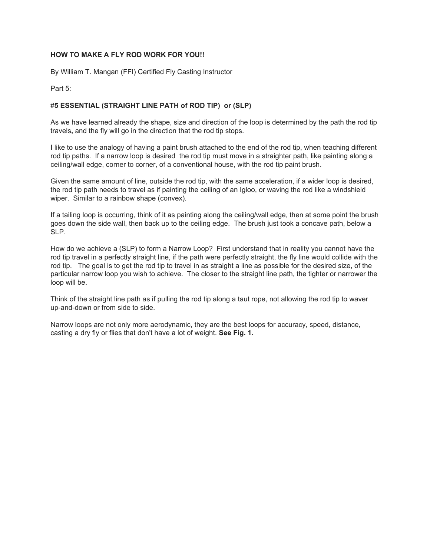### **HOW TO MAKE A FLY ROD WORK FOR YOU!!**

By William T. Mangan (FFI) Certified Fly Casting Instructor

Part 5:

# #**5 ESSENTIAL (STRAIGHT LINE PATH of ROD TIP) or (SLP)**

As we have learned already the shape, size and direction of the loop is determined by the path the rod tip travels**,** and the fly will go in the direction that the rod tip stops.

I like to use the analogy of having a paint brush attached to the end of the rod tip, when teaching different rod tip paths. If a narrow loop is desired the rod tip must move in a straighter path, like painting along a ceiling/wall edge, corner to corner, of a conventional house, with the rod tip paint brush.

Given the same amount of line, outside the rod tip, with the same acceleration, if a wider loop is desired, the rod tip path needs to travel as if painting the ceiling of an Igloo, or waving the rod like a windshield wiper. Similar to a rainbow shape (convex).

If a tailing loop is occurring, think of it as painting along the ceiling/wall edge, then at some point the brush goes down the side wall, then back up to the ceiling edge. The brush just took a concave path, below a SLP.

How do we achieve a (SLP) to form a Narrow Loop? First understand that in reality you cannot have the rod tip travel in a perfectly straight line, if the path were perfectly straight, the fly line would collide with the rod tip. The goal is to get the rod tip to travel in as straight a line as possible for the desired size, of the particular narrow loop you wish to achieve. The closer to the straight line path, the tighter or narrower the loop will be.

Think of the straight line path as if pulling the rod tip along a taut rope, not allowing the rod tip to waver up-and-down or from side to side.

Narrow loops are not only more aerodynamic, they are the best loops for accuracy, speed, distance, casting a dry fly or flies that don't have a lot of weight. **See Fig. 1.**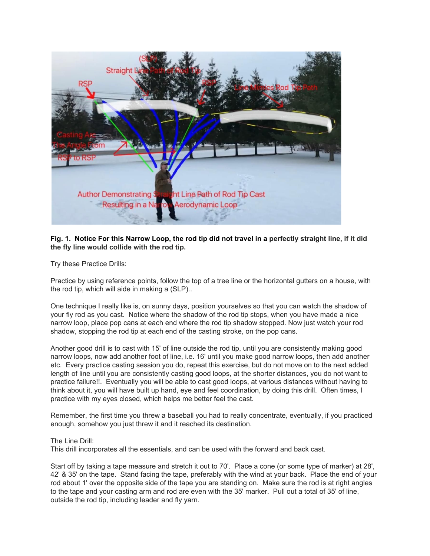

## Fig. 1. Notice For this Narrow Loop, the rod tip did not travel in a perfectly straight line, if it did **the fly line would collide with the rod tip.**

Try these Practice Drills:

Practice by using reference points, follow the top of a tree line or the horizontal gutters on a house, with the rod tip, which will aide in making a (SLP)..

One technique I really like is, on sunny days, position yourselves so that you can watch the shadow of your fly rod as you cast. Notice where the shadow of the rod tip stops, when you have made a nice narrow loop, place pop cans at each end where the rod tip shadow stopped. Now just watch your rod shadow, stopping the rod tip at each end of the casting stroke, on the pop cans.

Another good drill is to cast with 15' of line outside the rod tip, until you are consistently making good narrow loops, now add another foot of line, i.e. 16' until you make good narrow loops, then add another etc. Every practice casting session you do, repeat this exercise, but do not move on to the next added length of line until you are consistently casting good loops, at the shorter distances, you do not want to practice failure!!. Eventually you will be able to cast good loops, at various distances without having to think about it, you will have built up hand, eye and feel coordination, by doing this drill. Often times, I practice with my eyes closed, which helps me better feel the cast.

Remember, the first time you threw a baseball you had to really concentrate, eventually, if you practiced enough, somehow you just threw it and it reached its destination.

### The Line Drill:

This drill incorporates all the essentials, and can be used with the forward and back cast.

Start off by taking a tape measure and stretch it out to 70'. Place a cone (or some type of marker) at 28', 42' & 35' on the tape. Stand facing the tape, preferably with the wind at your back. Place the end of your rod about 1' over the opposite side of the tape you are standing on. Make sure the rod is at right angles to the tape and your casting arm and rod are even with the 35' marker. Pull out a total of 35' of line, outside the rod tip, including leader and fly yarn.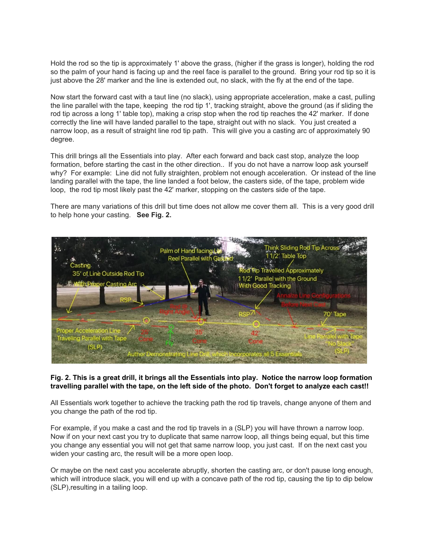Hold the rod so the tip is approximately 1' above the grass, (higher if the grass is longer), holding the rod so the palm of your hand is facing up and the reel face is parallel to the ground. Bring your rod tip so it is just above the 28' marker and the line is extended out, no slack, with the fly at the end of the tape.

Now start the forward cast with a taut line (no slack), using appropriate acceleration, make a cast, pulling the line parallel with the tape, keeping the rod tip 1', tracking straight, above the ground (as if sliding the rod tip across a long 1' table top), making a crisp stop when the rod tip reaches the 42' marker. If done correctly the line will have landed parallel to the tape, straight out with no slack. You just created a narrow loop, as a result of straight line rod tip path. This will give you a casting arc of approximately 90 degree.

This drill brings all the Essentials into play. After each forward and back cast stop, analyze the loop formation, before starting the cast in the other direction.. If you do not have a narrow loop ask yourself why? For example: Line did not fully straighten, problem not enough acceleration. Or instead of the line landing parallel with the tape, the line landed a foot below, the casters side, of the tape, problem wide loop, the rod tip most likely past the 42' marker, stopping on the casters side of the tape.

There are many variations of this drill but time does not allow me cover them all. This is a very good drill to help hone your casting. **See Fig. 2.**



### Fig. 2. This is a great drill, it brings all the Essentials into play. Notice the narrow loop formation travelling parallel with the tape, on the left side of the photo. Don't forget to analyze each cast!!

All Essentials work together to achieve the tracking path the rod tip travels, change anyone of them and you change the path of the rod tip.

For example, if you make a cast and the rod tip travels in a (SLP) you will have thrown a narrow loop. Now if on your next cast you try to duplicate that same narrow loop, all things being equal, but this time you change any essential you will not get that same narrow loop, you just cast. If on the next cast you widen your casting arc, the result will be a more open loop.

Or maybe on the next cast you accelerate abruptly, shorten the casting arc, or don't pause long enough, which will introduce slack, you will end up with a concave path of the rod tip, causing the tip to dip below (SLP),resulting in a tailing loop.